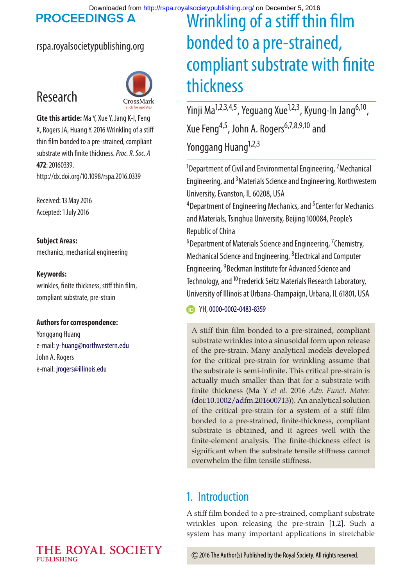**PROCEEDINGS A** 

### rspa.royalsocietypublishing.org



**Cite this article:** Ma Y, Xue Y, Jang K-I, Feng X, Rogers JA, Huang Y. 2016 Wrinkling of a stiff thin film bonded to a pre-strained, compliant substrate with finite thickness.*Proc. R. Soc. A* **472**: 20160339. http://dx.doi.org/10.1098/rspa.2016.0339

Received: 13 May 2016 Accepted: 1 July 2016

### **Subject Areas:**

Research

mechanics, mechanical engineering

### **Keywords:**

wrinkles, finite thickness, stiff thin film, compliant substrate, pre-strain

### **Authors for correspondence:**

Yonggang Huang e-mail:[y-huang@northwestern.edu](mailto:y-huang@northwestern.edu) John A. Rogers e-mail: [jrogers@illinois.edu](mailto:jrogers@illinois.edu)

# Wrinkling of a stiff thin film bonded to a pre-strained, compliant substrate with finite thickness

Yinji Ma<sup>1,2,3,4,5</sup>, Yeguang Xue<sup>1,2,3</sup>, Kyung-In Jang<sup>6,10</sup>, Xue Feng<sup>4,5</sup>, John A. Rogers<sup>6,7,8,9,10</sup> and Yonggang Huang<sup>1,2,3</sup>

<sup>1</sup>Department of Civil and Environmental Engineering,  $^2$ Mechanical Engineering, and <sup>3</sup> Materials Science and Engineering, Northwestern University, Evanston, IL 60208, USA

<sup>4</sup> Department of Engineering Mechanics, and <sup>5</sup> Center for Mechanics and Materials, Tsinghua University, Beijing 100084, People's Republic of China

<sup>6</sup>Department of Materials Science and Engineering, <sup>7</sup>Chemistry, Mechanical Science and Engineering, <sup>8</sup> Electrical and Computer Engineering, <sup>9</sup> Beckman Institute for Advanced Science and Technology, and <sup>10</sup>Frederick Seitz Materials Research Laboratory, University of Illinois at Urbana-Champaign, Urbana, IL 61801, USA

TH, [0000-0002-0483-8359](http://orcid.org/0000-0002-0483-8359)

A stiff thin film bonded to a pre-strained, compliant substrate wrinkles into a sinusoidal form upon release of the pre-strain. Many analytical models developed for the critical pre-strain for wrinkling assume that the substrate is semi-infinite. This critical pre-strain is actually much smaller than that for a substrate with finite thickness (Ma Y *et al.* 2016 *Adv. Funct. Mater.* [\(doi:10.1002/adfm.201600713\)](http://dx.doi.org/doi:10.1002/adfm.201600713)). An analytical solution of the critical pre-strain for a system of a stiff film bonded to a pre-strained, finite-thickness, compliant substrate is obtained, and it agrees well with the finite-element analysis. The finite-thickness effect is significant when the substrate tensile stiffness cannot overwhelm the film tensile stiffness.

## 1. Introduction

A stiff film bonded to a pre-strained, compliant substrate wrinkles upon releasing the pre-strain [\[1,](#page-4-0)[2\]](#page-4-1). Such a system has many important applications in stretchable

2016 The Author(s) Published by the Royal Society. All rights reserved.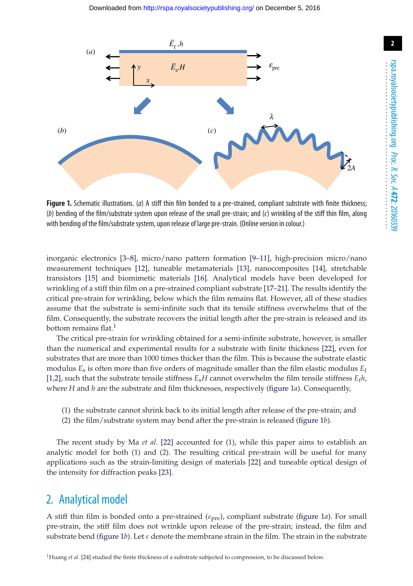

<span id="page-1-0"></span>**Figure 1.** Schematic illustrations. (*a*) A stiff thin film bonded to a pre-strained, compliant substrate with finite thickness; (*b*) bending of the film/substrate system upon release of the small pre-strain; and (*c*) wrinkling of the stiff thin film, along with bending of the film/substrate system, upon release of large pre-strain. (Online version in colour.)

inorganic electronics [\[3](#page-4-2)[–8\]](#page-4-3), micro/nano pattern formation [\[9](#page-4-4)[–11\]](#page-4-5), high-precision micro/nano measurement techniques [\[12\]](#page-4-6), tuneable metamaterials [\[13\]](#page-5-0), nanocomposites [\[14\]](#page-5-1), stretchable transistors [\[15\]](#page-5-2) and biomimetic materials [\[16\]](#page-5-3). Analytical models have been developed for wrinkling of a stiff thin film on a pre-strained compliant substrate [\[17](#page-5-4)[–21\]](#page-5-5). The results identify the critical pre-strain for wrinkling, below which the film remains flat. However, all of these studies assume that the substrate is semi-infinite such that its tensile stiffness overwhelms that of the film. Consequently, the substrate recovers the initial length after the pre-strain is released and its bottom remains flat. $1$ 

The critical pre-strain for wrinkling obtained for a semi-infinite substrate, however, is smaller than the numerical and experimental results for a substrate with finite thickness [\[22\]](#page-5-6), even for substrates that are more than 1000 times thicker than the film. This is because the substrate elastic modulus  $E_s$  is often more than five orders of magnitude smaller than the film elastic modulus  $E_f$ [\[1](#page-4-0)[,2\]](#page-4-1), such that the substrate tensile stiffness  $E<sub>s</sub>H$  cannot overwhelm the film tensile stiffness  $E<sub>f</sub>h$ , where *H* and *h* are the substrate and film thicknesses, respectively [\(figure 1](#page-1-0)*a*). Consequently,

- (1) the substrate cannot shrink back to its initial length after release of the pre-strain; and
- (2) the film/substrate system may bend after the pre-strain is released [\(figure 1](#page-1-0)*b*).

The recent study by Ma *et al*. [\[22\]](#page-5-6) accounted for (1), while this paper aims to establish an analytic model for both (1) and (2). The resulting critical pre-strain will be useful for many applications such as the strain-limiting design of materials [\[22\]](#page-5-6) and tuneable optical design of the intensity for diffraction peaks [\[23\]](#page-5-7).

## 2. Analytical model

A stiff thin film is bonded onto a pre-strained ( $\varepsilon_{pre}$ ), compliant substrate [\(figure 1](#page-1-0)*a*). For small pre-strain, the stiff film does not wrinkle upon release of the pre-strain; instead, the film and substrate bend [\(figure 1](#page-1-0)*b*). Let  $\varepsilon$  denote the membrane strain in the film. The strain in the substrate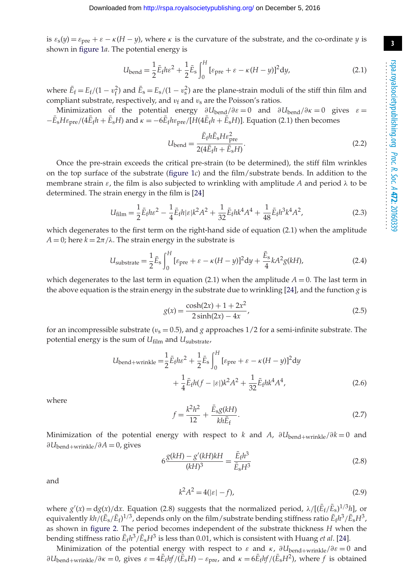is  $\varepsilon_s(y) = \varepsilon_{pre} + \varepsilon - \kappa(H - y)$ , where  $\kappa$  is the curvature of the substrate, and the co-ordinate *y* is shown in [figure 1](#page-1-0)*a*. The potential energy is

$$
U_{\text{bend}} = \frac{1}{2}\bar{E}_f h \varepsilon^2 + \frac{1}{2}\bar{E}_s \int_0^H \left[\varepsilon_{\text{pre}} + \varepsilon - \kappa (H - y)\right]^2 dy,\tag{2.1}
$$

where  $\bar{E}_f = E_f/(1 - v_f^2)$  and  $\bar{E}_s = E_s/(1 - v_s^2)$  are the plane-strain moduli of the stiff thin film and compliant substrate, respectively, and  $v_f$  and  $v_s$  are the Poisson's ratios.

Minimization of the potential energy  $\partial U_{\text{bend}}/\partial \varepsilon = 0$  and  $\partial U_{\text{bend}}/\partial \varepsilon = 0$  gives  $\varepsilon =$  $-E_{\rm s}H\varepsilon_{\rm pre}/(4E_{\rm f}h + E_{\rm s}H)$  and  $\kappa = -6E_{\rm f}h\varepsilon_{\rm pre}/[H(4E_{\rm f}h + E_{\rm s}H)]$ . Equation (2.1) then becomes

$$
U_{\text{bend}} = \frac{\bar{E}_{\text{f}} h \bar{E}_{\text{s}} H \varepsilon_{\text{pre}}^2}{2(4\bar{E}_{\text{f}} h + \bar{E}_{\text{s}} H)}.
$$
\n(2.2)

Once the pre-strain exceeds the critical pre-strain (to be determined), the stiff film wrinkles on the top surface of the substrate [\(figure 1](#page-1-0)*c*) and the film/substrate bends. In addition to the membrane strain  $\varepsilon$ , the film is also subjected to wrinkling with amplitude *A* and period  $\lambda$  to be determined. The strain energy in the film is [\[24\]](#page-5-8)

$$
U_{\text{film}} = \frac{1}{2} \bar{E}_{\text{f}} h \varepsilon^2 - \frac{1}{4} \bar{E}_{\text{f}} h |\varepsilon| k^2 A^2 + \frac{1}{32} \bar{E}_{\text{f}} h k^4 A^4 + \frac{1}{48} \bar{E}_{\text{f}} h^3 k^4 A^2, \tag{2.3}
$$

which degenerates to the first term on the right-hand side of equation (2.1) when the amplitude  $A = 0$ ; here  $k = 2\pi/\lambda$ . The strain energy in the substrate is

$$
U_{\text{substrate}} = \frac{1}{2} \bar{E}_{\text{s}} \int_0^H \left[ \varepsilon_{\text{pre}} + \varepsilon - \kappa (H - y) \right]^2 \mathrm{d}y + \frac{\bar{E}_{\text{s}}}{4} k A^2 g(kH),\tag{2.4}
$$

which degenerates to the last term in equation (2.1) when the amplitude  $A = 0$ . The last term in the above equation is the strain energy in the substrate due to wrinkling [\[24\]](#page-5-8), and the function *g* is

$$
g(x) = \frac{\cosh(2x) + 1 + 2x^2}{2\sinh(2x) - 4x},
$$
\n(2.5)

for an incompressible substrate ( $v_s = 0.5$ ), and *g* approaches  $1/2$  for a semi-infinite substrate. The potential energy is the sum of *U*film and *U*substrate,

$$
U_{\text{bend}+ \text{wrinkle}} = \frac{1}{2} \bar{E}_f h \varepsilon^2 + \frac{1}{2} \bar{E}_s \int_0^H \left[ \varepsilon_{\text{pre}} + \varepsilon - \kappa (H - y) \right]^2 \mathrm{d}y + \frac{1}{4} \bar{E}_f h (f - |\varepsilon|) k^2 A^2 + \frac{1}{32} \bar{E}_f h k^4 A^4,
$$
 (2.6)

where

$$
f = \frac{k^2 h^2}{12} + \frac{\bar{E}_s g(kH)}{kh \bar{E}_f}.
$$
 (2.7)

Minimization of the potential energy with respect to *k* and *A*,  $\partial U_{\text{bend}+w \text{rinkel}}/\partial k = 0$  and ∂*U*bend+wrinkle/∂*A* = 0, gives

$$
6\frac{g(kH) - g'(kH)kH}{(kH)^3} = \frac{\bar{E}_f h^3}{\bar{E}_s H^3}
$$
\n(2.8)

and

$$
k^2 A^2 = 4(|\varepsilon| - f),\tag{2.9}
$$

where  $g'(x) = dg(x)/dx$ . Equation (2.8) suggests that the normalized period,  $\lambda/[(\bar{E}_f/\bar{E}_s)^{1/3}h]$ , or equivalently  $kh/(\bar{E}_s/\bar{E}_f)^{1/3}$ , depends only on the film/substrate bending stiffness ratio  $\bar{E}_f h^3/\bar{E}_s H^3$ , as shown in [figure 2.](#page-3-0) The period becomes independent of the substrate thickness *H* when the bending stiffness ratio  $\bar{E}_\text{f} h^3/\bar{E}_\text{s}H^3$  is less than 0.01, which is consistent with Huang *et al*. [\[24\]](#page-5-8).

Minimization of the potential energy with respect to  $\varepsilon$  and  $\kappa$ ,  $\partial U_{\text{bend}+w\text{rinkle}}/\partial \varepsilon = 0$  and  $\partial U_{\text{bend}+\text{wrinkle}}/\partial \kappa = 0$ , gives  $\varepsilon = 4\bar{E}_f h f/(\bar{E}_s H) - \varepsilon_{\text{pre}}$ , and  $\kappa = 6\bar{E}_f h f/(\bar{E}_s H^2)$ , where *f* is obtained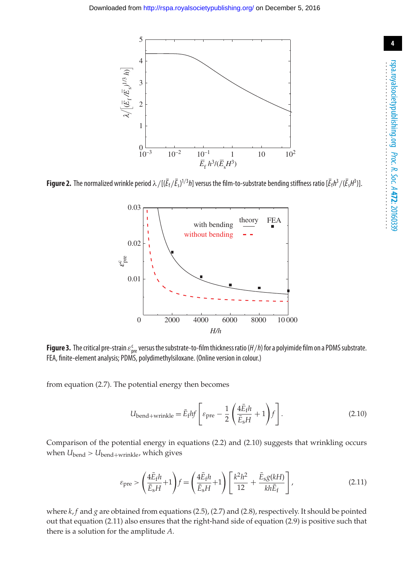

<span id="page-3-0"></span>**Figure 2.** The normalized wrinkle period  $\lambda/[(\bar{E}_f/\bar{E}_s)^{1/3}h]$  versus the film-to-substrate bending stiffness ratio [ $\bar{E}_f h^3/(\bar{E}_s H^3)$ ].



<span id="page-3-1"></span>**Figure 3.** The critical pre-strain  $\varepsilon_{\text{pre}}^{\text{c}}$  versus the substrate-to-film thickness ratio (*H/h*) for a polyimide film on a PDMS substrate. FEA, finite-element analysis; PDMS, polydimethylsiloxane. (Online version in colour.)

from equation (2.7). The potential energy then becomes

$$
U_{\text{bend}+\text{wrinkle}} = \bar{E}_f h f \left[ \varepsilon_{\text{pre}} - \frac{1}{2} \left( \frac{4 \bar{E}_f h}{\bar{E}_s H} + 1 \right) f \right].
$$
 (2.10)

Comparison of the potential energy in equations (2.2) and (2.10) suggests that wrinkling occurs when  $U_{\text{bend}} > U_{\text{bend}+wrinkle}$ , which gives

$$
\varepsilon_{\text{pre}} > \left(\frac{4\bar{E}_{\text{f}}h}{\bar{E}_{\text{s}}H} + 1\right) f = \left(\frac{4\bar{E}_{\text{f}}h}{\bar{E}_{\text{s}}H} + 1\right) \left[\frac{k^2h^2}{12} + \frac{\bar{E}_{\text{s}}g(kH)}{kh\bar{E}_{\text{f}}}\right],\tag{2.11}
$$

where *k*, *f* and *g* are obtained from equations (2.5), (2.7) and (2.8), respectively. It should be pointed out that equation (2.11) also ensures that the right-hand side of equation (2.9) is positive such that there is a solution for the amplitude *A*.

...................................................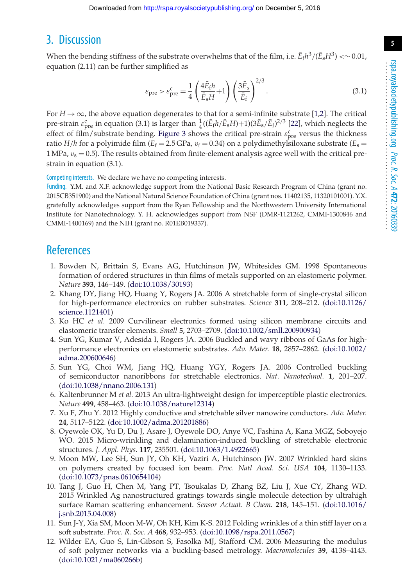## 3. Discussion

When the bending stiffness of the substrate overwhelms that of the film, i.e.  $\bar{E}_f h^3/(\bar{E}_s H^3) \ll 0.01$ , equation (2.11) can be further simplified as

$$
\varepsilon_{\text{pre}} > \varepsilon_{\text{pre}}^{\text{c}} = \frac{1}{4} \left( \frac{4 \bar{E}_{\text{f}} h}{\bar{E}_{\text{s}} H} + 1 \right) \left( \frac{3 \bar{E}_{\text{s}}}{\bar{E}_{\text{f}}} \right)^{2/3}.
$$
 (3.1)

For  $H \rightarrow \infty$ , the above equation degenerates to that for a semi-infinite substrate [\[1](#page-4-0)[,2\]](#page-4-1). The critical pre-strain  $\varepsilon_{\text{pre}}^{\text{c}}$  in equation (3.1) is larger than  $\frac{1}{4}((\bar{E}_f h/\bar{E}_s H)+1)(3\bar{E}_s/\bar{E}_f)^{2/3}$  [\[22\]](#page-5-6), which neglects the effect of film/substrate bending. [Figure 3](#page-3-1) shows the critical pre-strain  $\varepsilon_{\text{pre}}^{\text{c}}$  versus the thickness ratio *H*/*h* for a polyimide film ( $E_f = 2.5$  GPa,  $v_f = 0.34$ ) on a polydimethylsiloxane substrate ( $E_s =$ 1 MPa,  $v_s = 0.5$ ). The results obtained from finite-element analysis agree well with the critical prestrain in equation (3.1).

Competing interests. We declare we have no competing interests.

Funding. Y.M. and X.F. acknowledge support from the National Basic Research Program of China (grant no. 2015CB351900) and the National Natural Science Foundation of China (grant nos. 11402135, 11320101001). Y.X. gratefully acknowledges support from the Ryan Fellowship and the Northwestern University International Institute for Nanotechnology. Y. H. acknowledges support from NSF (DMR-1121262, CMMI-1300846 and CMMI-1400169) and the NIH (grant no. R01EB019337).

### <span id="page-4-0"></span>**References**

- 1. Bowden N, Brittain S, Evans AG, Hutchinson JW, Whitesides GM. 1998 Spontaneous formation of ordered structures in thin films of metals supported on an elastomeric polymer. *Nature* **393**, 146–149. [\(doi:10.1038/30193\)](http://dx.doi.org/doi:10.1038/30193)
- <span id="page-4-1"></span>2. Khang DY, Jiang HQ, Huang Y, Rogers JA. 2006 A stretchable form of single-crystal silicon for high-performance electronics on rubber substrates. *Science* **311**, 208–212. [\(doi:10.1126/](http://dx.doi.org/doi:10.1126/science.1121401) [science.1121401\)](http://dx.doi.org/doi:10.1126/science.1121401)
- <span id="page-4-2"></span>3. Ko HC *et al.* 2009 Curvilinear electronics formed using silicon membrane circuits and elastomeric transfer elements. *Small* **5**, 2703–2709. [\(doi:10.1002/smll.200900934\)](http://dx.doi.org/doi:10.1002/smll.200900934)
- 4. Sun YG, Kumar V, Adesida I, Rogers JA. 2006 Buckled and wavy ribbons of GaAs for highperformance electronics on elastomeric substrates. *Adv. Mater.* **18**, 2857–2862. [\(doi:10.1002/](http://dx.doi.org/doi:10.1002/adma.200600646) [adma.200600646\)](http://dx.doi.org/doi:10.1002/adma.200600646)
- 5. Sun YG, Choi WM, Jiang HQ, Huang YGY, Rogers JA. 2006 Controlled buckling of semiconductor nanoribbons for stretchable electronics. *Nat. Nanotechnol.* **1**, 201–207. [\(doi:10.1038/nnano.2006.131\)](http://dx.doi.org/doi:10.1038/nnano.2006.131)
- 6. Kaltenbrunner M *et al.* 2013 An ultra-lightweight design for imperceptible plastic electronics. *Nature* **499**, 458–463. [\(doi:10.1038/nature12314\)](http://dx.doi.org/doi:10.1038/nature12314)
- 7. Xu F, Zhu Y. 2012 Highly conductive and stretchable silver nanowire conductors. *Adv. Mater.* **24**, 5117–5122. [\(doi:10.1002/adma.201201886\)](http://dx.doi.org/doi:10.1002/adma.201201886)
- <span id="page-4-3"></span>8. Oyewole OK, Yu D, Du J, Asare J, Oyewole DO, Anye VC, Fashina A, Kana MGZ, Soboyejo WO. 2015 Micro-wrinkling and delamination-induced buckling of stretchable electronic structures. *J. Appl. Phys.* **117**, 235501. [\(doi:10.1063/1.4922665\)](http://dx.doi.org/doi:10.1063/1.4922665)
- <span id="page-4-4"></span>9. Moon MW, Lee SH, Sun JY, Oh KH, Vaziri A, Hutchinson JW. 2007 Wrinkled hard skins on polymers created by focused ion beam. *Proc. Natl Acad. Sci. USA* **104**, 1130–1133. [\(doi:10.1073/pnas.0610654104\)](http://dx.doi.org/doi:10.1073/pnas.0610654104)
- 10. Tang J, Guo H, Chen M, Yang PT, Tsoukalas D, Zhang BZ, Liu J, Xue CY, Zhang WD. 2015 Wrinkled Ag nanostructured gratings towards single molecule detection by ultrahigh surface Raman scattering enhancement. *Sensor Actuat. B Chem.* **218**, 145–151. [\(doi:10.1016/](http://dx.doi.org/doi:10.1016/j.snb.2015.04.008) [j.snb.2015.04.008\)](http://dx.doi.org/doi:10.1016/j.snb.2015.04.008)
- <span id="page-4-5"></span>11. Sun J-Y, Xia SM, Moon M-W, Oh KH, Kim K-S. 2012 Folding wrinkles of a thin stiff layer on a soft substrate. *Proc. R. Soc. A* **468**, 932–953. [\(doi:10.1098/rspa.2011.0567\)](http://dx.doi.org/doi:10.1098/rspa.2011.0567)
- <span id="page-4-6"></span>12. Wilder EA, Guo S, Lin-Gibson S, Fasolka MJ, Stafford CM. 2006 Measuring the modulus of soft polymer networks via a buckling-based metrology. *Macromolecules* **39**, 4138–4143. [\(doi:10.1021/ma060266b\)](http://dx.doi.org/doi:10.1021/ma060266b)